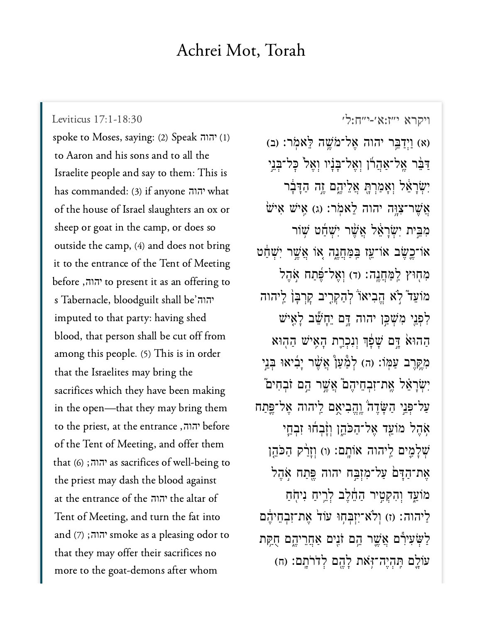## Achrei Mot, Torah

Leviticus 17:1-18:30

spoke to Moses, saying: (2) Speak יהוה (1) to Aaron and his sons and to all the Israelite people and say to them: This is has commanded: (3) if anyone יהוה of the house of Israel slaughters an ox or sheep or goat in the camp, or does so outside the camp, (4) and does not bring it to the entrance of the Tent of Meeting before ,הוה, to present it as an offering to s Tabernacle, bloodguilt shall be' $\pi$ הוה imputed to that party: having shed blood, that person shall be cut off from among this people. (5) This is in order that the Israelites may bring the sacrifices which they have been making in the open—that they may bring them to the priest, at the entrance ,'הוה of the Tent of Meeting, and offer them that  $(6)$ ; יהוה; as sacrifices of well-being to the priest may dash the blood against at the entrance of the יהוה the altar of Tent of Meeting, and turn the fat into and (7);<sup>noke</sup> as a pleasing odor to that they may offer their sacrifices no more to the goat-demons after whom

ויקרא י״ז:א׳-י״ח:ל׳

(א) וַיִּדַבֵּר יהוה אֱל־מֹשֱה לֵאמְר: (ב) דַּבֵּר אֱל־אַהֲרוֹ וְאֱל־בַּנָיו וְאֵל כָּל־בְּנֵי יִשְׂרָאֵל וְאָמַרְתָּ אֲלֵיהֶם זֶה הַדָּבָר  $\stackrel{\text{{\small i}}}{\text{{\small iv}}}$  איש איש געמר: געור־צוַה אַ אַ מִבֵּית יְשְׂרַאֵּל אֲשֶׁר יְשָׁחַם שָׁוֹר או־כֵשֶׂב אוֹ־עֵז בַּמַּחֲנֵה אוֹ אֲשֵׁר יִשְׁחַט מְחִוּץ לַמְחֲנֵה: (ד) וְאֱלֹ־פֶּׁתַח אֶהֶל מוֹעֵד לְא הֵבִיאוֹ לְהַקְרֵיב קַרְבַּן לַיהוּה לְפְנֵי מִשְׁכֵּן יהוה דֵּם יֵחָשֵׁב לָאֵישׁ הַהוּאֹ דֵּם שָׁפָּׁךְ וְנִכְרֵת הָאֵישׁ הַהְוּא מְקֵרֵב עַמְּוֹ: (ה) לְמָּעַןْ אֲשֶׁר יָבְיאוּ בְּנֵי יְשְׂרָאֵל אֱת־זִבְחֵיהֶם אֲשֱר הֱם זֹבְחִים עַל־פָּנֵי הַשָּׂדֶה וֶהֶבִיאֵם לֵיהוה אֱל־פֵּתַח אַהֵל מוֹעֵד אֲל־הַכֹּהֵן וְזָ֫בְחוּ זִבְחֵי שְׁלַמֱים לֵיהוה אוֹתֵם: (ו) וְזַרַ֫ק הַכֹּהֱן אַת־הַדָּם עַל־מִזְבֵּח יהוה פֵּתַח אֹהֶל מוֹעֵד וְהָקְטֵיר הַחֱלֵב לְרֵיחַ נִיחָֹחַ לַיהוה: (ז) וְלֹא־יִזְבְחָוּ עוֹד אֲת־זְבְחֵיהֶם לַשִּׂעִירָם אֲשֱר הֱם זֹנֵים אַחֲרֵיהֱם חָקֵת עוֹלֵם תַּהְיֶה־זְאֹת לַהֱם לְדֹרֹתֵם: (ח)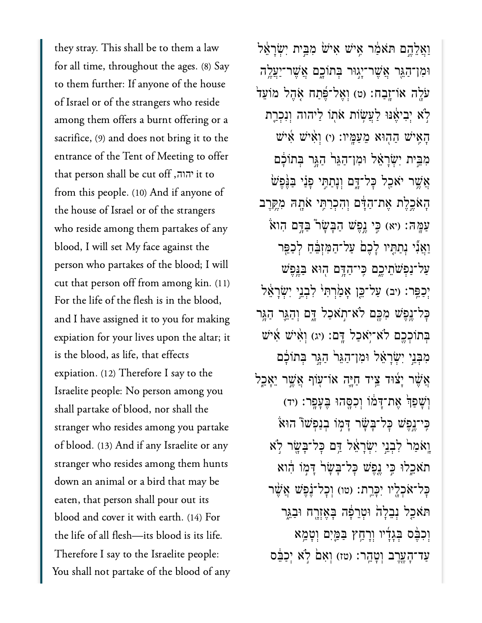they stray. This shall be to them a law for all time, throughout the ages. (8) Say to them further: If anyone of the house of Israel or of the strangers who reside among them offers a burnt offering or a sacrifice, (9) and does not bring it to the entrance of the Tent of Meeting to offer that person shall be cut off, יהוה, it to from this people. (10) And if anyone of the house of Israel or of the strangers who reside among them partakes of any blood, I will set My face against the person who partakes of the blood; I will cut that person off from among kin. (11) For the life of the flesh is in the blood, and I have assigned it to you for making expiation for your lives upon the altar; it is the blood, as life, that effects expiation. (12) Therefore I say to the Israelite people: No person among you shall partake of blood, nor shall the stranger who resides among you partake of blood. (13) And if any Israelite or any stranger who resides among them hunts down an animal or a bird that may be eaten, that person shall pour out its blood and cover it with earth. (14) For the life of all flesh-its blood is its life. Therefore I say to the Israelite people: You shall not partake of the blood of any

וַאֲלֶהֱם תֹּאמַׂר אֵישׁ אִישׁׁ מְבֵית יְשְׂרָאֵל וּמִן־הַגֶּר אֲשֶׁר־יָגְוּר בְּתוֹכָם אֲשֵׁר־יַעֲלֵה עֹלֶה אוֹ־זֶבַח: (ט) וְאֱל־פֵּׁתַח אָהֶל מוֹעֵד לְא יִבְיאֵנוּ לַעֲשָׂוֹת אֹתוֹ לַיהוּה וְנִכְרֵת הַאֵישׁ הַהִוּא מֵעֲמֵיו: (י) וְאִישׁ אִישׁ מִבֵּית יִשְׂרָאֵל וּמְן־הַגֵּר הַגֵּר בִּתוֹכָם אֲשֶׁר יֹאַכְל כָּל־דָּם וְנָתַתֵּי פָּנַי בַּנֵּפָשׁ הָאֹכֵלֶת אֶת־הַדָּם וְהִכְרַתֵּי אֹתָהּ מְקֵרֵב עַמֲהּ: (יא) כֵּי נֵפֵשׁ הַבָּשָׂר בַּדֵּם הָואֹ וַאֲנִי נִתַתְּיו לָכֶםׂ עַל־הַמְזְבֵּٰחָ לְכַפֵּר על־נפשתיכם כי־הדם הוא בנפש יִכְפֵר: (יִב) עַל־כֵּן אֲמַׂרְתְּיֹ לְבְנֵי יְשְׂרַאֵּל כַּל־נֵפֵשׁ מִכֵּם לֹא־תְאֹכָל דֵּם וְהָגֵר הָגֵר בְתוֹכְכֵם לֹא־יָאכָל דָם: (יג) וְאִישׁ אִישׁ מִבְּנֵי יִשְׂרָאָל וּמֵן־הָגֶּר הָגֵר בְּתוֹכָם אֲשֶׁר יָצוּד צֵיד חַיַּה אוֹ־עָוֹף אֲשֵׁר יֵאֲכֵל וְשָׁפָּךְ אֵת־דָּמוֹ וְכְסֵהוּ בֵּעֲפֵר: (יד) כֵּי־נֵפֵשׁ כַּל־בַּשָּׂר דַּמְוֹ בְנַפְשׁוֹ הוּאֹ וַאֹמַרֹ לְבְנֵי יְשָׂרַאֵל דָּם כָּל־בַּשֵׂר לְא תאכלו כֵּי גֵפֵשׁ כַּל־בַּשָׂרֹ דָּמְוֹ הָוא כָּל־אֹכְלֵיו יִכָּרֵת: (טוּ) וְכָל־נַׁפֵּשׁ אֲשֵׁר תּאֹכֵל נִבֵלַה וּטְרֵפָּה בַּאֲזָרֵח וּבָגֵר וִכְבֵּם בְּגָדָיו וְרָהַץ בַּמֵּיִם וְטָמֵא עַד־הָעֲרֵב וְטָהֱר: (טּז) וְאָם לְאָ יִכַבֵּם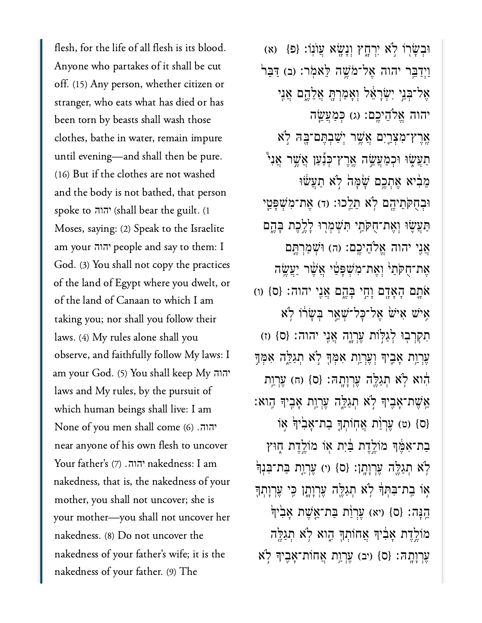flesh, for the life of all flesh is its blood. Anyone who partakes of it shall be cut off. (15) Any person, whether citizen or stranger, who eats what has died or has been torn by beasts shall wash those clothes, bathe in water, remain impure until evening—and shall then be pure. (16) But if the clothes are not washed and the body is not bathed, that person spoke to יהוה (shall bear the guilt. (1 Moses, saying: (2) Speak to the Israelite am your יהוה people and say to them: I God. (3) You shall not copy the practices of the land of Egypt where you dwelt, or of the land of Canaan to which I am taking you; nor shall you follow their laws. (4) My rules alone shall you observe, and faithfully follow My laws: I am your God. (5) You shall keep My יהוה laws and My rules, by the pursuit of which human beings shall live: I am None of you men shall come )6( . יהוה near anyone of his own flesh to uncover Your father's (7) יהוה. nakedness: I am nakedness, that is, the nakedness of your mother, you shall not uncover; she is your mother—you shall not uncover her nakedness. (8) Do not uncover the nakedness of your father's wife; it is the nakedness of your father. (9) The

וּבְשָׂרוֹ לְא יִרְחֶץ וְנָשָׂא עֲוֹנְוֹ: {פ<sup>ָן</sup> (ֹא וַיִדַּבֵּר יהוה אֱל־מֹשֵׁה לֵּאמְר: (ב) דַּבֵּר<sup>וּ</sup> אֲל־כָּנֵי יִשְׂרָאֵל וְאָמַרְתָּ אֲלֶהֱם אֲנֵי יהוה אֱלֹהֶיכֵם: (ג) כִּמַעֲשֱׂה אֶרֶץ־מִצְרֵיִם אֲשֱר יְשַׁבְתֶּם־בָּהּ לְא ַתְּעֲשָׂוּ וּכְמַעֲשֵׂה אֱרֵץ־כְּנָ֫עַן אֲשֵׁר אֲנִי ְמֵבְ֫יֹא אֶתְכֵם שָׁמָּהֹ לְא תַעֲשׁוּ וּבְחָקֹתֵיהֱם לְא תֵלֵכוּ: (ד) אֲת־מְשָׁפַּטֵי ַתַּעֲשֶׂוּ וְאֵת־חָקֹתֵי תְּשָׁמְרִוּ לַלֵבֶת בַּהֵם אֲנֵי יהוה אֱלֹהֻיִכֱם: (ה) וּשָׁמַרְתֵּם אַת־חָקֹתֵי וְאֱת־מִשְׁפַּטֵי אֲשֶׁר יַעֲשֶׂה ֿאָתָם הָאָדָם וַחֵי בַּהֶם אֲנֵי יהוה: {ס} (ו) אַיש אָיש אֱל־כָּל־*ִשְׁ*אֵר בִּשֲׁרוֹ לְא תִקְרְבְוּ לְגַלְוֹת עֲרְוֶה אֲנֵי יהוה: {ס} (ז) ְעֲרָוֵת אָבֵיךְ וְעֵרְוַת אָמְךָּ לְא תְגַלֵּה אָמְךָ הוא לְא תְגַלֵּה עֲרְוָתָה: {ס} (ח) עֵרְוַת :אֵּשֶׁת־אָבִיךְ לְא תְגַלֵּה עֵרְוַת אָבִיךְ הָוא ס} (ט) עֵרְוֹת אֲחָוֹתְךָּ בַת־אֲבִ<sup>ׂי</sup>וְדָּ אָוֹ בַת־אָמֶּ֫ךְּ מוֹלֱדֶת בַּ֫יִת אָוֹ מוֹלֱדֶת חָוּץ ֹלְא תְגַלֵּה עֲרְוַתֵן: {ס} (י) עֲרְוַת בַּת־בִּנְדְּ ְאִוֹ בַת־בִּתְךָּ לְא תְגַלֵּה עֵרְוַתָן כֵּי עֵרְוַתְךָ הֵנָּה: {ס} (יא) עֵרְוַּת בַּת־אֱשֵׁת אָבְיִךְ מֹוֹלֵדֶת אָבְ֫יִךְ אֲחוֹתְךָּ הָוא לְא תְגַלֵּה  $\mathbf{x}$ ְרוַתֲה׃ {ס} (יב) עֲרְוַת אֲחוֹת־אָבֶיךָ לְאֹ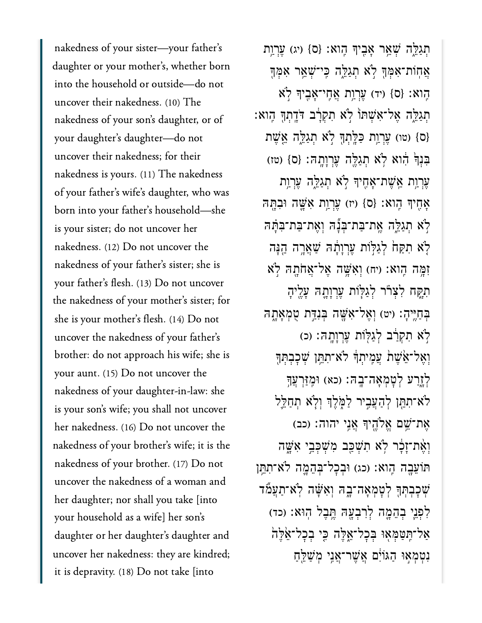nakedness of your sister—your father's daughter or your mother's, whether born into the household or outside—do not uncover their nakedness. (10) The nakedness of your son's daughter, or of your daughter's daughter—do not uncover their nakedness; for their nakedness is yours. (11) The nakedness of your father's wife's daughter, who was born into your father's household—she is your sister; do not uncover her nakedness. (12) Do not uncover the nakedness of your father's sister; she is your father's flesh. (13) Do not uncover the nakedness of your mother's sister; for she is your mother's flesh. (14) Do not uncover the nakedness of your father's brother: do not approach his wife; she is your aunt. (15) Do not uncover the nakedness of your daughter-in-law: she is your son's wife; you shall not uncover her nakedness. (16) Do not uncover the nakedness of your brother's wife; it is the nakedness of your brother. (17) Do not uncover the nakedness of a woman and her daughter; nor shall you take [into your household as a wife] her son's daughter or her daughter's daughter and uncover her nakedness: they are kindred; it is depravity. (18) Do not take [into

תִגַלֵּה שָׁאֵר אָבִיךְּ הֶוא: {ס} (ע) עֵרְוַת אֲחָוֹת־אָמְךָּ לְא תְגַלֵּה כֵּי־שָׁאֵר אָמְךָ הֵוא: {ס} (יד) עֲרָוַת אֲחֶי־אָבֶיךָ לְא ָּתְגַלֵּה אֲל־אִשָׁתוֹ לְא תִקְרָ֫ב דֹּדֲתִךְ הָוא (ס} (טו) עֵרְוַת כַּלֵּתְךָּ לְא תְגַלֵּה אֱשֵׁת ַבְנְךְ הָוֹא לְא תְגַלֶּה עֲרְוַתֲה׃ {ס} (טז) עֵרְוַת אֱשֶׁת־אָחֶיךָּ לְא תְגַלֱה עֲרְוַת אָחֵיךְ הֶוא: {ס} (יז) עֲרָוַת אָשֱה וּבְתֵּה ּלְׂא תְגַלֵּה אֱת־בַּת־בְּנָّהּ וְאֵת־בַּת־בִּתַּהּ לֹא תִקַּח<sup>ָ</sup> לְגַלְּוֹת עֵרְוָתָה שָׁאֲרֶה הֵנָּה זְמֵה הָוֹא: (יִה) וְאֵשֶׁה אֱל־אֲחֹתָה לְא תְקַח לְצְרֹר לְגַלְוֹת עֲרְוַתֲהָ עָלֵיהָ בְּחָיֵּיהָ: (יט) וְאֱל־אָּשֶׁה בְּנְדֵּת טְמְאָתָהּ ֹלְאׁ תִקְרַ֫ב לְגַלְּוֹת עֲרְוַתֲהָ׃ (כ) וְאֵל־אֵׂשֶׁת עֲמֵיתַךְ לֹא־תְתֵּ֣ן שִׁכַּבְתְּךָ ּלְזָרַע לְטָמְאָה־בָה: (כא) וּמֵזַּרְעֲךָ לֹא־תְתֵּן לְהָעֲבֵיר לַמְּלֵךְ וְלָא תְחַלֵּל הַת־ֹּשֵׁם אֱלֹהֱיִךְ אֲנֵי יהוה: (כב) וְאֶת־זַכֶּ֫ר לְא תְשָׁבֵּב מְּשָׁכְּבֵי אָשֶׁה תּוֹעֲבָה הֶוֹא: (כג) וּבְכָל־בְּהֶמֶה לֹא־תְתֵּו ֹשְׁכָּבְתְּךָ לְטָמְאָה־בָה וְאִשָּׁה לְאִ־תַעֲמٌד ַלְפְנֵי בְהֶמֱה לְרִבְעָהּ הֱבָל הִוּא: (כד) ֿאַל־תֵּטַמְּאָוּ בִּכָל־אֱלֶה כֵּי בִכָל־אֱלֶה נִטְמְאָוּ הַגּוֹיָם אֲשֶׁר־אֲנֵי מְשַׁלֵּחַ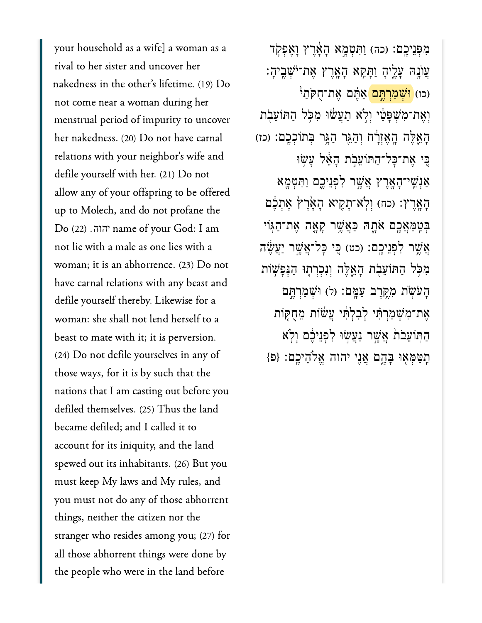your household as a wife] a woman as a rival to her sister and uncover her nakedness in the other's lifetime. (19) Do not come near a woman during her menstrual period of impurity to uncover her nakedness. (20) Do not have carnal relations with your neighbor's wife and defile yourself with her. (21) Do not allow any of your offspring to be offered up to Molech, and do not profane the Do )22( . name of your God: I am יהוהnot lie with a male as one lies with a woman; it is an abhorrence. (23) Do not have carnal relations with any beast and defile yourself thereby. Likewise for a woman: she shall not lend herself to a beast to mate with it; it is perversion. (24) Do not defile yourselves in any of those ways, for it is by such that the nations that I am casting out before you defiled themselves. (25) Thus the land became defiled; and I called it to account for its iniquity, and the land spewed out its inhabitants. (26) But you must keep My laws and My rules, and you must not do any of those abhorrent things, neither the citizen nor the stranger who resides among you; (27) for all those abhorrent things were done by the people who were in the land before

מִפְּנֵיכֶם: (כה) וַתְּטָמֶא הָאֶרֶץ וָאֱפִקְד ָעֲוֹנֵה עָלֵיהָ וַתָּקָא הָאָרֵץ אֲת־יֹּשָׁבֵיהָ (כו) <mark>וּשָׁמַרְתֵּם</mark> אֲתֶּׁם אֱת־חָקֹתַיֹּ וְאֶת־מִ**שְׁפָּטַ**י וְלָא תַעֲשׁוּ מִכְּל הַתּוֹעֵבְת ְהָאֱלֶּה הָאֵזְרָׂח וְהָגֵּר הָגֵּר בְּתוֹכְכֵם: (כז) ַּכִּי אֶת־כַּל־הַתּוֹעֲבִת הָאֱל עַשִׂוּ ַאְנֵֽׁשי־ָהָ֖אֶרץ ֲאֶׁ֣שר ִלְפֵניֶ֑כם ַוִּתְטָ֖מא הַאֲרֶץ: (כח) וְלְא־תָקֵיא הָאֲרֶץ אֶתְכֶם ْבְּטַ*ּמַ*אֲכֶם אֹתֶהּ כַּאֲשֶׁר קָאֲה אֵת־הַגִּוֹי ֲאֶׁ֥שר ִלְפֵניֶֽכם׃ )כט( ִּ֚כי ׇּכל־ֲאֶׁ֣שר ַיֲעֶׂ֔שה ִמֹּ֥כל ַהּתֹוֵעֹ֖בת ָהֵ֑אֶּלה ְוִנְכְר֛תּו ַהְּנָפׁ֥שֹות ָהֹעֹׂ֖שת ִמֶּ֥קֶרב ַעָּֽמם׃ )ל( ּוְׁשַמְרֶּ֣תם ֶאת־ִמְׁשַמְרִּ֗תי ְלִבְלִּ֨תי ֲעׂ֜שֹות ֵמֻחּ֤קֹות ַהּֽתֹוֵעֹב֙ת ֲאֶׁ֣שר ַנֲעׂ֣שּו ִלְפֵניֶ֔כם ְוֹ֥לא ִֽתַּטְּמ֖אּו ָּבֶ֑הם ֲאִ֖ני יהוה ֱאֹלֵהיֶֽכם׃ }פ{